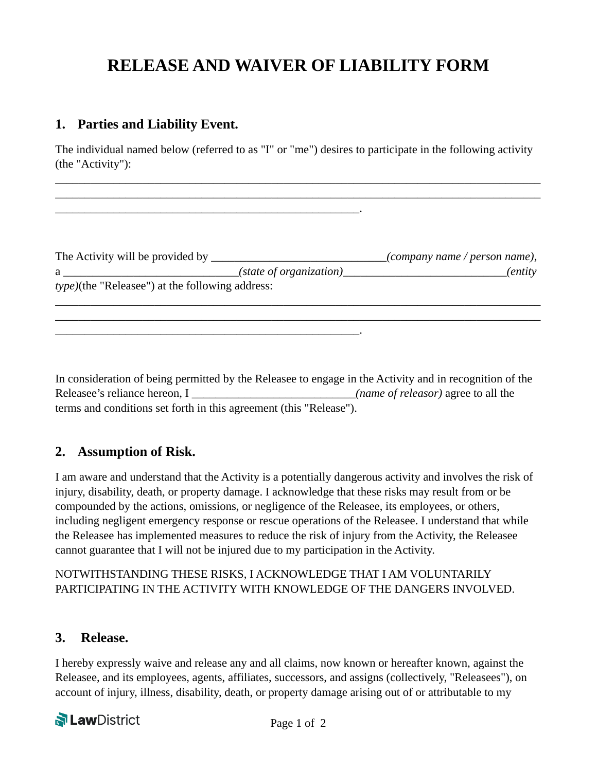# **RELEASE AND WAIVER OF LIABILITY FORM**

### **1. Parties and Liability Event.**

\_\_\_\_\_\_\_\_\_\_\_\_\_\_\_\_\_\_\_\_\_\_\_\_\_\_\_\_\_\_\_\_\_\_\_\_\_\_\_\_\_\_\_\_\_\_\_\_\_\_\_\_.

\_\_\_\_\_\_\_\_\_\_\_\_\_\_\_\_\_\_\_\_\_\_\_\_\_\_\_\_\_\_\_\_\_\_\_\_\_\_\_\_\_\_\_\_\_\_\_\_\_\_\_\_.

The individual named below (referred to as "I" or "me") desires to participate in the following activity (the "Activity"):

\_\_\_\_\_\_\_\_\_\_\_\_\_\_\_\_\_\_\_\_\_\_\_\_\_\_\_\_\_\_\_\_\_\_\_\_\_\_\_\_\_\_\_\_\_\_\_\_\_\_\_\_\_\_\_\_\_\_\_\_\_\_\_\_\_\_\_\_\_\_\_\_\_\_\_\_\_\_\_\_\_\_\_ \_\_\_\_\_\_\_\_\_\_\_\_\_\_\_\_\_\_\_\_\_\_\_\_\_\_\_\_\_\_\_\_\_\_\_\_\_\_\_\_\_\_\_\_\_\_\_\_\_\_\_\_\_\_\_\_\_\_\_\_\_\_\_\_\_\_\_\_\_\_\_\_\_\_\_\_\_\_\_\_\_\_\_

| The Activity will be provided by                        |                         | $\mathcal{L}$ company name / person name), |
|---------------------------------------------------------|-------------------------|--------------------------------------------|
|                                                         | (state of organization) | <i>(entity)</i>                            |
| <i>type</i> )(the "Releasee") at the following address: |                         |                                            |
|                                                         |                         |                                            |

\_\_\_\_\_\_\_\_\_\_\_\_\_\_\_\_\_\_\_\_\_\_\_\_\_\_\_\_\_\_\_\_\_\_\_\_\_\_\_\_\_\_\_\_\_\_\_\_\_\_\_\_\_\_\_\_\_\_\_\_\_\_\_\_\_\_\_\_\_\_\_\_\_\_\_\_\_\_\_\_\_\_\_

In consideration of being permitted by the Releasee to engage in the Activity and in recognition of the Releasee's reliance hereon, I \_\_\_\_\_\_\_\_\_\_\_\_\_\_\_\_\_\_\_\_\_\_\_\_\_\_\_\_\_*(name of releasor)* agree to all the terms and conditions set forth in this agreement (this "Release").

# **2. Assumption of Risk.**

I am aware and understand that the Activity is a potentially dangerous activity and involves the risk of injury, disability, death, or property damage. I acknowledge that these risks may result from or be compounded by the actions, omissions, or negligence of the Releasee, its employees, or others, including negligent emergency response or rescue operations of the Releasee. I understand that while the Releasee has implemented measures to reduce the risk of injury from the Activity, the Releasee cannot guarantee that I will not be injured due to my participation in the Activity.

#### NOTWITHSTANDING THESE RISKS, I ACKNOWLEDGE THAT I AM VOLUNTARILY PARTICIPATING IN THE ACTIVITY WITH KNOWLEDGE OF THE DANGERS INVOLVED.

#### **3. Release.**

I hereby expressly waive and release any and all claims, now known or hereafter known, against the Releasee, and its employees, agents, affiliates, successors, and assigns (collectively, "Releasees"), on account of injury, illness, disability, death, or property damage arising out of or attributable to my